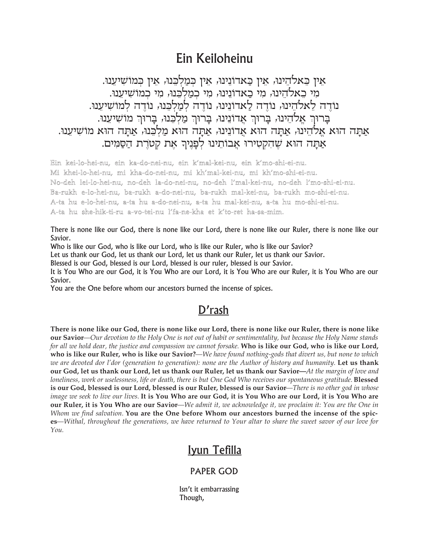## Ein Keiloheinu

אַין כַּאלהֵינוּ, אַין כַּאדוֹנֵינוּ, אַין כִּמַלְכֵנוּ, אַין כִּמוֹשִׁיעֲנוּ. מי כאלהינוּ, מי כאדונינוּ, מי כמלכנוּ, מי כמוֹשיענוּ. נודה לאלהינו, נודה לאדונינו, נודה למלכנו, נודה למושיענו. ברור אַלהֵינוּ, בַרוּךְ אַדוֹנֵינוּ, בַרוּךְ מַלְכֵנוּ, בַרוּךְ מוֹשִׁיעֵנוּ. אתה הוא אלהינו, אתה הוא אדונינו, אתה הוא מלכנו, אתה הוא מושיענו. אתה הוא שהקטירו אבותינו לפניר את קטרת הסמים.

Ein kei-lo-hei-nu, ein ka-do-nei-nu, ein k'mal-kei-nu, ein k'mo-shi-ei-nu. Mi khei-lo-hei-nu, mi kha-do-nei-nu, mi kh'mal-kei-nu, mi kh'mo-shi-ei-nu. No-deh lei-lo-hei-nu, no-deh la-do-nei-nu, no-deh l'mal-kei-nu, no-deh l'mo-shi-ei-nu. Ba-rukh e-lo-hei-nu, ba-rukh a-do-nei-nu, ba-rukh mal-kei-nu, ba-rukh mo-shi-ei-nu. A-ta hu e-lo-hei-nu, a-ta hu a-do-nei-nu, a-ta hu mal-kei-nu, a-ta hu mo-shi-ei-nu. A-ta hu she-hik-ti-ru a-vo-tei-nu l'fa-ne-kha et k'to-ret ha-sa-mim.

There is none like our God, there is none like our Lord, there is none like our Ruler, there is none like our Savior.

Who is like our God, who is like our Lord, who is like our Ruler, who is like our Savior?

Let us thank our God, let us thank our Lord, let us thank our Ruler, let us thank our Savior.

Blessed is our God, blessed is our Lord, blessed is our ruler, blessed is our Savior.

It is You Who are our God, it is You Who are our Lord, it is You Who are our Ruler, it is You Who are our Savior.

You are the One before whom our ancestors burned the incense of spices.

## D'rash

There is none like our God, there is none like our Lord, there is none like our Ruler, there is none like our Savior—Our devotion to the Holy One is not out of habit or sentimentality, but because the Holy Name stands for all we hold dear, the justice and compassion we cannot forsake. Who is like our God, who is like our Lord, who is like our Ruler, who is like our Savior?—We have found nothing-gods that divert us, but none to which we are devoted dor l'dor (generation to generation): none are the Author of history and humanity. Let us thank our God, let us thank our Lord, let us thank our Ruler, let us thank our Savior—At the margin of love and loneliness, work or uselessness, life or death, there is but One God Who receives our spontaneous gratitude. Blessed is our God, blessed is our Lord, blessed is our Ruler, blessed is our Savior-There is no other god in whose image we seek to live our lives. It is You Who are our God, it is You Who are our Lord, it is You Who are our Ruler, it is You Who are our Savior—We admit it, we acknowledge it, we proclaim it: You are the One in Whom we find salvation. You are the One before Whom our ancestors burned the incense of the spices—Withal, throughout the generations, we have returned to Your altar to share the sweet savor of our love for You.

## Iyun Tefilla

## **PAPER GOD**

Isn't it embarrassing Though,